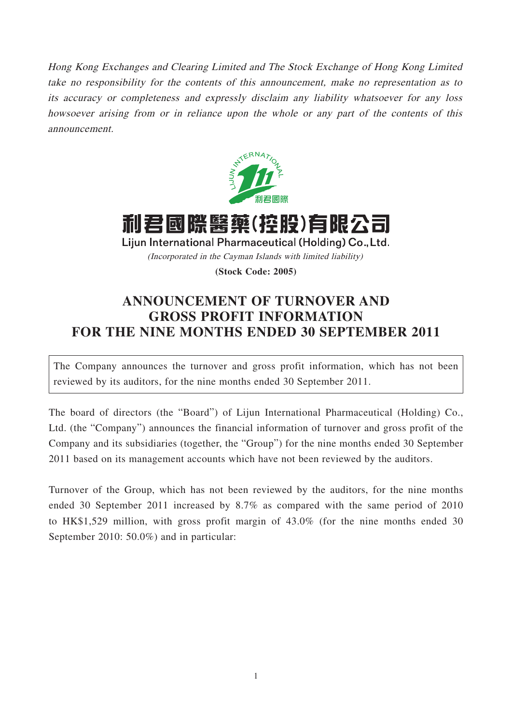Hong Kong Exchanges and Clearing Limited and The Stock Exchange of Hong Kong Limited take no responsibility for the contents of this announcement, make no representation as to its accuracy or completeness and expressly disclaim any liability whatsoever for any loss howsoever arising from or in reliance upon the whole or any part of the contents of this announcement.



利君國際醫藥(控股)有限公司 Lijun International Pharmaceutical (Holding) Co., Ltd. (Incorporated in the Cayman Islands with limited liability)

**(Stock Code: 2005)**

## **ANNOUNCEMENT OF TURNOVER AND GROSS PROFIT INFORMATION FOR THE NINE MONTHS ENDED 30 SEPTEMBER 2011**

The Company announces the turnover and gross profit information, which has not been reviewed by its auditors, for the nine months ended 30 September 2011.

The board of directors (the "Board") of Lijun International Pharmaceutical (Holding) Co., Ltd. (the "Company") announces the financial information of turnover and gross profit of the Company and its subsidiaries (together, the "Group") for the nine months ended 30 September 2011 based on its management accounts which have not been reviewed by the auditors.

Turnover of the Group, which has not been reviewed by the auditors, for the nine months ended 30 September 2011 increased by 8.7% as compared with the same period of 2010 to HK\$1,529 million, with gross profit margin of 43.0% (for the nine months ended 30 September 2010: 50.0%) and in particular: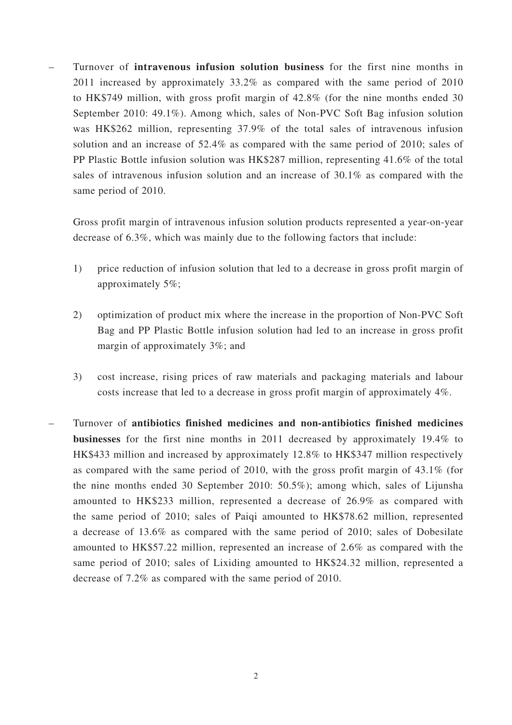– Turnover of **intravenous infusion solution business** for the first nine months in 2011 increased by approximately 33.2% as compared with the same period of 2010 to HK\$749 million, with gross profit margin of 42.8% (for the nine months ended 30 September 2010: 49.1%). Among which, sales of Non-PVC Soft Bag infusion solution was HK\$262 million, representing 37.9% of the total sales of intravenous infusion solution and an increase of 52.4% as compared with the same period of 2010; sales of PP Plastic Bottle infusion solution was HK\$287 million, representing 41.6% of the total sales of intravenous infusion solution and an increase of 30.1% as compared with the same period of 2010.

Gross profit margin of intravenous infusion solution products represented a year-on-year decrease of 6.3%, which was mainly due to the following factors that include:

- 1) price reduction of infusion solution that led to a decrease in gross profit margin of approximately 5%;
- 2) optimization of product mix where the increase in the proportion of Non-PVC Soft Bag and PP Plastic Bottle infusion solution had led to an increase in gross profit margin of approximately 3%; and
- 3) cost increase, rising prices of raw materials and packaging materials and labour costs increase that led to a decrease in gross profit margin of approximately 4%.
- Turnover of **antibiotics finished medicines and non-antibiotics finished medicines businesses** for the first nine months in 2011 decreased by approximately 19.4% to HK\$433 million and increased by approximately 12.8% to HK\$347 million respectively as compared with the same period of 2010, with the gross profit margin of 43.1% (for the nine months ended 30 September 2010: 50.5%); among which, sales of Lijunsha amounted to HK\$233 million, represented a decrease of 26.9% as compared with the same period of 2010; sales of Paiqi amounted to HK\$78.62 million, represented a decrease of 13.6% as compared with the same period of 2010; sales of Dobesilate amounted to HK\$57.22 million, represented an increase of 2.6% as compared with the same period of 2010; sales of Lixiding amounted to HK\$24.32 million, represented a decrease of 7.2% as compared with the same period of 2010.